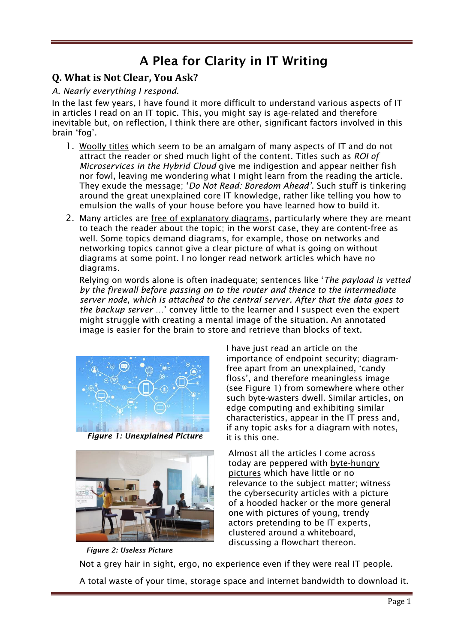# A Plea for Clarity in IT Writing

# **Q. What is Not Clear, You Ask?**

#### *A. Nearly everything I respond.*

In the last few years, I have found it more difficult to understand various aspects of IT in articles I read on an IT topic. This, you might say is age-related and therefore inevitable but, on reflection, I think there are other, significant factors involved in this brain 'fog'.

- 1. Woolly titles which seem to be an amalgam of many aspects of IT and do not attract the reader or shed much light of the content. Titles such as *ROI of Microservices in the Hybrid Cloud* give me indigestion and appear neither fish nor fowl, leaving me wondering what I might learn from the reading the article. They exude the message; '*Do Not Read: Boredom Ahead'*. Such stuff is tinkering around the great unexplained core IT knowledge, rather like telling you how to emulsion the walls of your house before you have learned how to build it.
- 2. Many articles are free of explanatory diagrams, particularly where they are meant to teach the reader about the topic; in the worst case, they are content-free as well. Some topics demand diagrams, for example, those on networks and networking topics cannot give a clear picture of what is going on without diagrams at some point. I no longer read network articles which have no diagrams.

Relying on words alone is often inadequate; sentences like '*The payload is vetted by the firewall before passing on to the router and thence to the intermediate server node, which is attached to the central server. After that the data goes to the backup server …*' convey little to the learner and I suspect even the expert might struggle with creating a mental image of the situation. An annotated image is easier for the brain to store and retrieve than blocks of text.



 *Figure 1: Unexplained Picture*



I have just read an article on the importance of endpoint security; diagramfree apart from an unexplained, 'candy floss', and therefore meaningless image (see Figure 1) from somewhere where other such byte-wasters dwell. Similar articles, on edge computing and exhibiting similar characteristics, appear in the IT press and, if any topic asks for a diagram with notes, it is this one.

Almost all the articles I come across today are peppered with byte-hungry pictures which have little or no relevance to the subject matter; witness the cybersecurity articles with a picture of a hooded hacker or the more general one with pictures of young, trendy actors pretending to be IT experts, clustered around a whiteboard, discussing a flowchart thereon.

 *Figure 2: Useless Picture* Not a grey hair in sight, ergo, no experience even if they were real IT people. A total waste of your time, storage space and internet bandwidth to download it.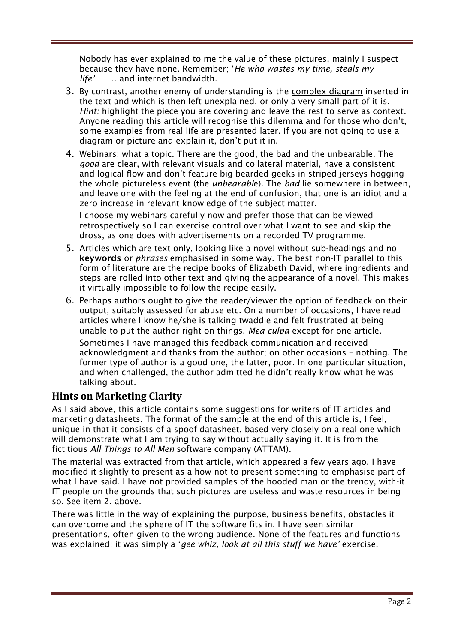Nobody has ever explained to me the value of these pictures, mainly I suspect because they have none. Remember; '*He who wastes my time, steals my life'*…….. and internet bandwidth.

- 3. By contrast, another enemy of understanding is the complex diagram inserted in the text and which is then left unexplained, or only a very small part of it is. *Hint:* highlight the piece you are covering and leave the rest to serve as context. Anyone reading this article will recognise this dilemma and for those who don't, some examples from real life are presented later. If you are not going to use a diagram or picture and explain it, don't put it in.
- 4. Webinars: what a topic. There are the good, the bad and the unbearable. The *good* are clear, with relevant visuals and collateral material, have a consistent and logical flow and don't feature big bearded geeks in striped jerseys hogging the whole pictureless event (the *unbearabl*e). The *bad* lie somewhere in between, and leave one with the feeling at the end of confusion, that one is an idiot and a zero increase in relevant knowledge of the subject matter.

I choose my webinars carefully now and prefer those that can be viewed retrospectively so I can exercise control over what I want to see and skip the dross, as one does with advertisements on a recorded TV programme.

- 5. Articles which are text only, looking like a novel without sub-headings and no keywords or *phrases* emphasised in some way. The best non-IT parallel to this form of literature are the recipe books of Elizabeth David, where ingredients and steps are rolled into other text and giving the appearance of a novel. This makes it virtually impossible to follow the recipe easily.
- 6. Perhaps authors ought to give the reader/viewer the option of feedback on their output, suitably assessed for abuse etc. On a number of occasions, I have read articles where I know he/she is talking twaddle and felt frustrated at being unable to put the author right on things. *Mea culpa* except for one article.

Sometimes I have managed this feedback communication and received acknowledgment and thanks from the author; on other occasions – nothing. The former type of author is a good one, the latter, poor. In one particular situation, and when challenged, the author admitted he didn't really know what he was talking about.

## **Hints on Marketing Clarity**

As I said above, this article contains some suggestions for writers of IT articles and marketing datasheets. The format of the sample at the end of this article is, I feel, unique in that it consists of a spoof datasheet, based very closely on a real one which will demonstrate what I am trying to say without actually saying it. It is from the fictitious *All Things to All Men* software company (ATTAM).

The material was extracted from that article, which appeared a few years ago. I have modified it slightly to present as a how-not-to-present something to emphasise part of what I have said. I have not provided samples of the hooded man or the trendy, with-it IT people on the grounds that such pictures are useless and waste resources in being so. See item 2. above.

There was little in the way of explaining the purpose, business benefits, obstacles it can overcome and the sphere of IT the software fits in. I have seen similar presentations, often given to the wrong audience. None of the features and functions was explained; it was simply a '*gee whiz, look at all this stuff we have'* exercise.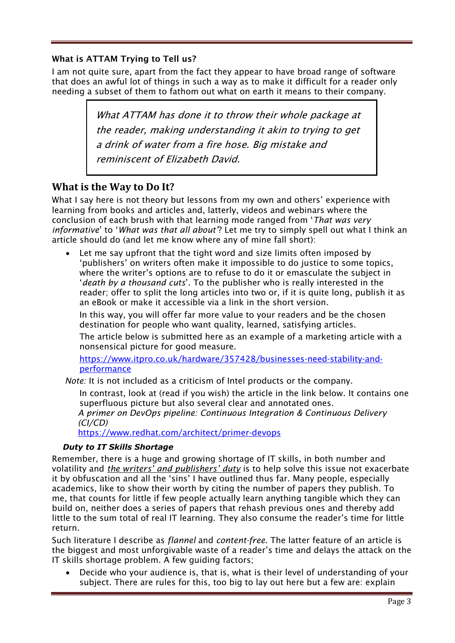#### What is ATTAM Trying to Tell us?

I am not quite sure, apart from the fact they appear to have broad range of software that does an awful lot of things in such a way as to make it difficult for a reader only needing a subset of them to fathom out what on earth it means to their company.

> What ATTAM has done it to throw their whole package at the reader, making understanding it akin to trying to get a drink of water from a fire hose. Big mistake and reminiscent of Elizabeth David.

## **What is the Way to Do It?**

What I say here is not theory but lessons from my own and others' experience with learning from books and articles and, latterly, videos and webinars where the conclusion of each brush with that learning mode ranged from '*That was very informative*' to '*What was that all about'*? Let me try to simply spell out what I think an article should do (and let me know where any of mine fall short):

Let me say upfront that the tight word and size limits often imposed by 'publishers' on writers often make it impossible to do justice to some topics, where the writer's options are to refuse to do it or emasculate the subject in '*death by a thousand cuts*'. To the publisher who is really interested in the reader; offer to split the long articles into two or, if it is quite long, publish it as an eBook or make it accessible via a link in the short version.

In this way, you will offer far more value to your readers and be the chosen destination for people who want quality, learned, satisfying articles.

The article below is submitted here as an example of a marketing article with a nonsensical picture for good measure.

[https://www.itpro.co.uk/hardware/357428/businesses-need-stability-and](https://www.itpro.co.uk/hardware/357428/businesses-need-stability-and-performance)[performance](https://www.itpro.co.uk/hardware/357428/businesses-need-stability-and-performance)

*Note:* It is not included as a criticism of Intel products or the company.

In contrast, look at (read if you wish) the article in the link below. It contains one superfluous picture but also several clear and annotated ones.

*A primer on DevOps pipeline: Continuous Integration & Continuous Delivery (CI/CD)*

<https://www.redhat.com/architect/primer-devops>

#### *Duty to IT Skills Shortage*

Remember, there is a huge and growing shortage of IT skills, in both number and volatility and *the writers' and publishers' duty* is to help solve this issue not exacerbate it by obfuscation and all the 'sins' I have outlined thus far. Many people, especially academics, like to show their worth by citing the number of papers they publish. To me, that counts for little if few people actually learn anything tangible which they can build on, neither does a series of papers that rehash previous ones and thereby add little to the sum total of real IT learning. They also consume the reader's time for little return.

Such literature I describe as *flannel* and *content-free*. The latter feature of an article is the biggest and most unforgivable waste of a reader's time and delays the attack on the IT skills shortage problem. A few guiding factors;

• Decide who your audience is, that is, what is their level of understanding of your subject. There are rules for this, too big to lay out here but a few are: explain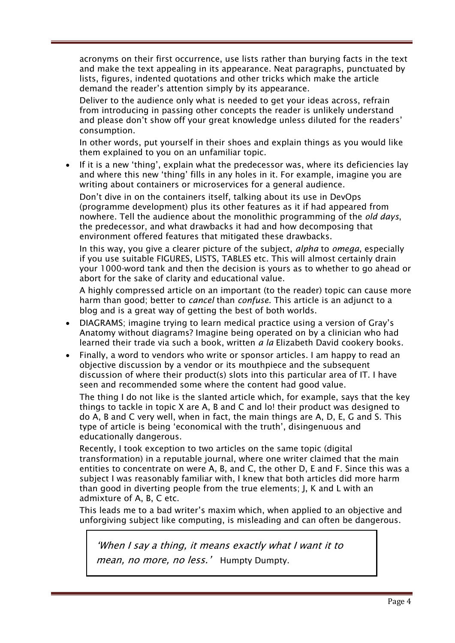acronyms on their first occurrence, use lists rather than burying facts in the text and make the text appealing in its appearance. Neat paragraphs, punctuated by lists, figures, indented quotations and other tricks which make the article demand the reader's attention simply by its appearance.

Deliver to the audience only what is needed to get your ideas across, refrain from introducing in passing other concepts the reader is unlikely understand and please don't show off your great knowledge unless diluted for the readers' consumption.

In other words, put yourself in their shoes and explain things as you would like them explained to you on an unfamiliar topic.

If it is a new 'thing', explain what the predecessor was, where its deficiencies lay and where this new 'thing' fills in any holes in it. For example, imagine you are writing about containers or microservices for a general audience.

Don't dive in on the containers itself, talking about its use in DevOps (programme development) plus its other features as it if had appeared from nowhere. Tell the audience about the monolithic programming of the *old days*, the predecessor, and what drawbacks it had and how decomposing that environment offered features that mitigated these drawbacks.

In this way, you give a clearer picture of the subject, *alpha* to *omega*, especially if you use suitable FIGURES, LISTS, TABLES etc. This will almost certainly drain your 1000-word tank and then the decision is yours as to whether to go ahead or abort for the sake of clarity and educational value.

A highly compressed article on an important (to the reader) topic can cause more harm than good; better to *cancel* than *confuse*. This article is an adjunct to a blog and is a great way of getting the best of both worlds.

- DIAGRAMS; imagine trying to learn medical practice using a version of Gray's Anatomy without diagrams? Imagine being operated on by a clinician who had learned their trade via such a book, written *a la* Elizabeth David cookery books.
- Finally, a word to vendors who write or sponsor articles. I am happy to read an objective discussion by a vendor or its mouthpiece and the subsequent discussion of where their product(s) slots into this particular area of IT. I have seen and recommended some where the content had good value.

The thing I do not like is the slanted article which, for example, says that the key things to tackle in topic X are A, B and C and lo! their product was designed to do A, B and C very well, when in fact, the main things are A, D, E, G and S. This type of article is being 'economical with the truth', disingenuous and educationally dangerous.

Recently, I took exception to two articles on the same topic (digital transformation) in a reputable journal, where one writer claimed that the main entities to concentrate on were A, B, and C, the other D, E and F. Since this was a subject I was reasonably familiar with, I knew that both articles did more harm than good in diverting people from the true elements; J, K and L with an admixture of A, B, C etc.

This leads me to a bad writer's maxim which, when applied to an objective and unforgiving subject like computing, is misleading and can often be dangerous.

'When I say a thing, it means exactly what I want it to mean, no more, no less.' Humpty Dumpty.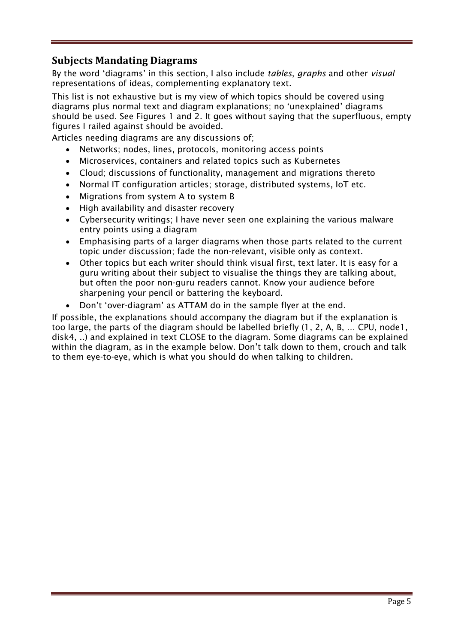# **Subjects Mandating Diagrams**

By the word 'diagrams' in this section, I also include *tables*, *graphs* and other *visual* representations of ideas, complementing explanatory text.

This list is not exhaustive but is my view of which topics should be covered using diagrams plus normal text and diagram explanations; no 'unexplained' diagrams should be used. See Figures 1 and 2. It goes without saying that the superfluous, empty figures I railed against should be avoided.

Articles needing diagrams are any discussions of;

- Networks; nodes, lines, protocols, monitoring access points
- Microservices, containers and related topics such as Kubernetes
- Cloud; discussions of functionality, management and migrations thereto
- Normal IT configuration articles; storage, distributed systems, IoT etc.
- Migrations from system A to system B
- High availability and disaster recovery
- Cybersecurity writings; I have never seen one explaining the various malware entry points using a diagram
- Emphasising parts of a larger diagrams when those parts related to the current topic under discussion; fade the non-relevant, visible only as context.
- Other topics but each writer should think visual first, text later. It is easy for a guru writing about their subject to visualise the things they are talking about, but often the poor non-guru readers cannot. Know your audience before sharpening your pencil or battering the keyboard.
- Don't 'over-diagram' as ATTAM do in the sample flyer at the end.

If possible, the explanations should accompany the diagram but if the explanation is too large, the parts of the diagram should be labelled briefly (1, 2, A, B, … CPU, node1, disk4, ..) and explained in text CLOSE to the diagram. Some diagrams can be explained within the diagram, as in the example below. Don't talk down to them, crouch and talk to them eye-to-eye, which is what you should do when talking to children.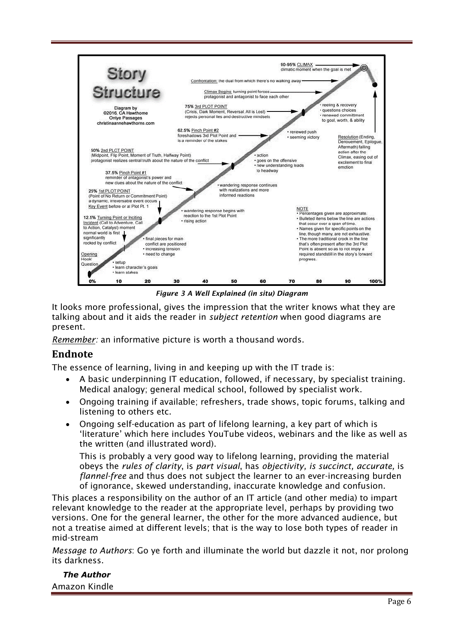

*Figure 3 A Well Explained (in situ) Diagram*

It looks more professional, gives the impression that the writer knows what they are talking about and it aids the reader in *subject retention* when good diagrams are present.

*Remember:* an informative picture is worth a thousand words.

## **Endnote**

The essence of learning, living in and keeping up with the IT trade is:

- A basic underpinning IT education, followed, if necessary, by specialist training. Medical analogy; general medical school, followed by specialist work.
- Ongoing training if available; refreshers, trade shows, topic forums, talking and listening to others etc.
- Ongoing self-education as part of lifelong learning, a key part of which is 'literature' which here includes YouTube videos, webinars and the like as well as the written (and illustrated word).

This is probably a very good way to lifelong learning, providing the material obeys the *rules of clarity*, is *part visual*, has *objectivity, is succinct, accurate,* is *flannel-free* and thus does not subject the learner to an ever-increasing burden of ignorance, skewed understanding, inaccurate knowledge and confusion.

This places a responsibility on the author of an IT article (and other media) to impart relevant knowledge to the reader at the appropriate level, perhaps by providing two versions. One for the general learner, the other for the more advanced audience, but not a treatise aimed at different levels; that is the way to lose both types of reader in mid-stream

*Message to Authors*: Go ye forth and illuminate the world but dazzle it not, nor prolong its darkness.

#### *The Author* Amazon Kindle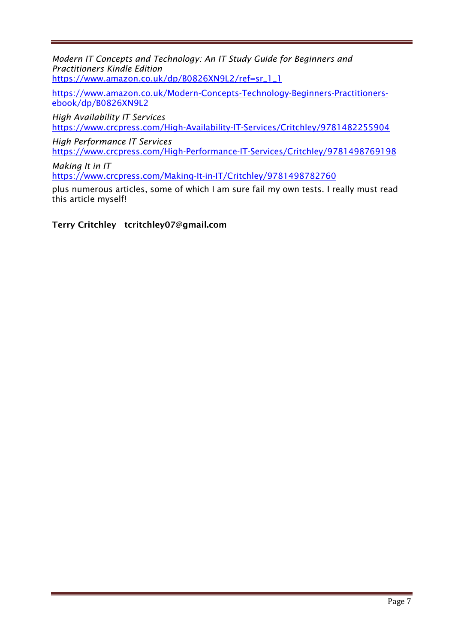*Modern IT Concepts and Technology: An IT Study Guide for Beginners and Practitioners Kindle Edition* [https://www.amazon.co.uk/dp/B0826XN9L2/ref=sr\\_1\\_1](https://www.amazon.co.uk/dp/B0826XN9L2/ref=sr_1_1)

[https://www.amazon.co.uk/Modern-Concepts-Technology-Beginners-Practitioners](https://www.amazon.co.uk/Modern-Concepts-Technology-Beginners-Practitioners-ebook/dp/B0826XN9L2)[ebook/dp/B0826XN9L2](https://www.amazon.co.uk/Modern-Concepts-Technology-Beginners-Practitioners-ebook/dp/B0826XN9L2)

*High Availability IT Services*  <https://www.crcpress.com/High-Availability-IT-Services/Critchley/9781482255904>

*High Performance IT Services*  <https://www.crcpress.com/High-Performance-IT-Services/Critchley/9781498769198>

*Making It in IT*  <https://www.crcpress.com/Making-It-in-IT/Critchley/9781498782760>

plus numerous articles, some of which I am sure fail my own tests. I really must read this article myself!

Terry Critchley tcritchley07@gmail.com